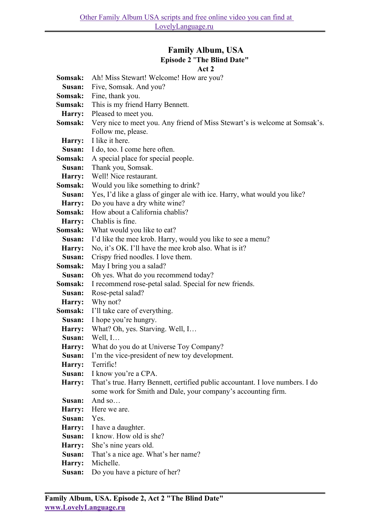## **Family Album, USA Episode 2** "**The Blind Date"**  $A_{\alpha+2}$

|                  | ACL 4                                                                         |
|------------------|-------------------------------------------------------------------------------|
| Somsak:          | Ah! Miss Stewart! Welcome! How are you?                                       |
| Susan:           | Five, Somsak. And you?                                                        |
| Somsak:          | Fine, thank you.                                                              |
| Sumsak:          | This is my friend Harry Bennett.                                              |
| Harry:           | Pleased to meet you.                                                          |
| Somsak:          | Very nice to meet you. Any friend of Miss Stewart's is welcome at Somsak's.   |
|                  | Follow me, please.                                                            |
| Harry:           | I like it here.                                                               |
| Susan:           | I do, too. I come here often.                                                 |
| Somsak:          | A special place for special people.                                           |
| Susan:           | Thank you, Somsak.                                                            |
| Harry:           | Well! Nice restaurant.                                                        |
| Somsak:          | Would you like something to drink?                                            |
| Susan:           | Yes, I'd like a glass of ginger ale with ice. Harry, what would you like?     |
| Harry:           | Do you have a dry white wine?                                                 |
| Somsak:          | How about a California chablis?                                               |
| Harry:           | Chablis is fine.                                                              |
| Somsak:          | What would you like to eat?                                                   |
| Susan:           | I'd like the mee krob. Harry, would you like to see a menu?                   |
| Harry:           | No, it's OK. I'll have the mee krob also. What is it?                         |
| Susan:           | Crispy fried noodles. I love them.                                            |
| Somsak:          | May I bring you a salad?                                                      |
| Susan:           | Oh yes. What do you recommend today?                                          |
| Somsak:          | I recommend rose-petal salad. Special for new friends.                        |
| Susan:           | Rose-petal salad?                                                             |
| Harry:           | Why not?                                                                      |
| Somsak:          | I'll take care of everything.                                                 |
| Susan:           | I hope you're hungry.                                                         |
| Harry:<br>Susan: | What? Oh, yes. Starving. Well, I<br>Well, $I$                                 |
| Harry:           | What do you do at Universe Toy Company?                                       |
| Susan:           | I'm the vice-president of new toy development.                                |
| Harry:           | Terrific!                                                                     |
| Susan:           | I know you're a CPA.                                                          |
| Harry:           | That's true. Harry Bennett, certified public accountant. I love numbers. I do |
|                  | some work for Smith and Dale, your company's accounting firm.                 |
| Susan:           | And so                                                                        |
| Harry:           | Here we are.                                                                  |
| Susan:           | Yes.                                                                          |
| Harry:           | I have a daughter.                                                            |
| Susan:           | I know. How old is she?                                                       |
| Harry:           | She's nine years old.                                                         |
| Susan:           | That's a nice age. What's her name?                                           |
| Harry:           | Michelle.                                                                     |
| Susan:           | Do you have a picture of her?                                                 |